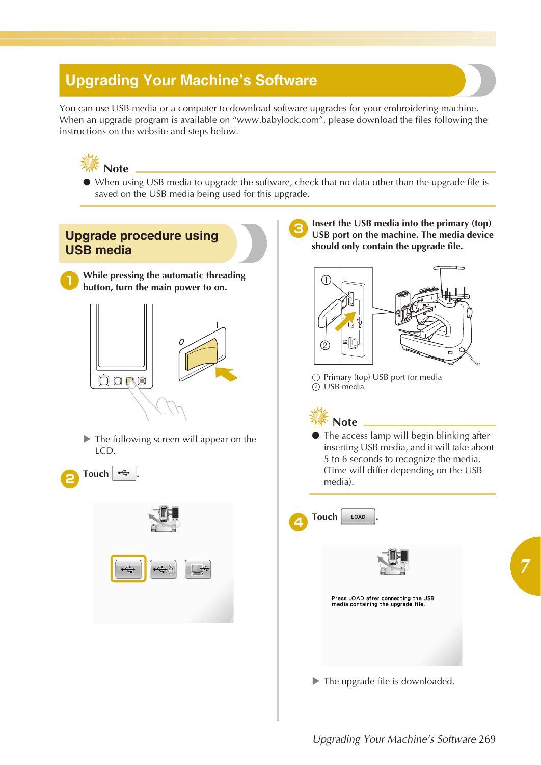## **Upgrading Your Machine's Software**

You can use USB media or a computer to download software upgrades for your embroidering machine. When an upgrade program is available on "www.babylock.com", please download the files following the instructions on the website and steps below.



● When using USB media to upgrade the software, check that no data other than the upgrade file is saved on the USB media being used for this upgrade.





*7*